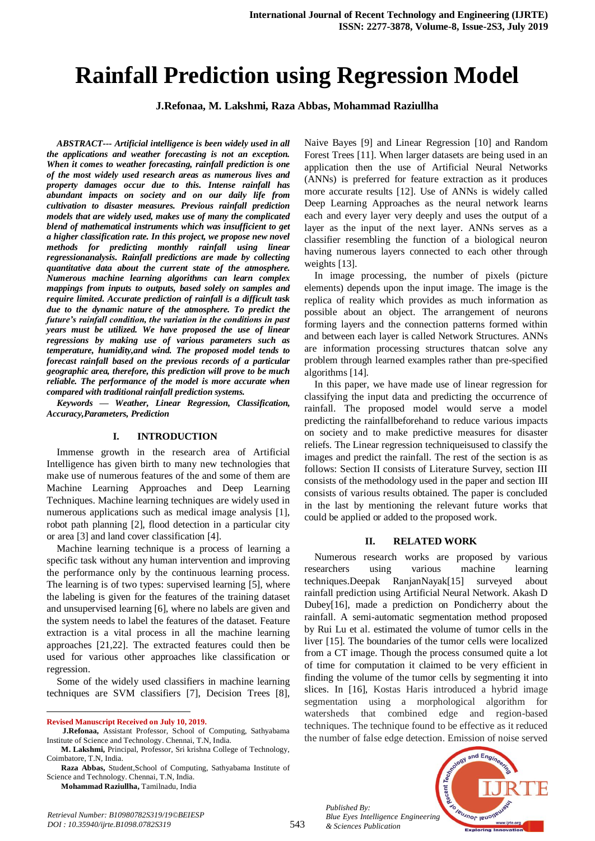# **Rainfall Prediction using Regression Model**

**J.Refonaa, M. Lakshmi, Raza Abbas, Mohammad Raziullha**

*ABSTRACT--- Artificial intelligence is been widely used in all the applications and weather forecasting is not an exception. When it comes to weather forecasting, rainfall prediction is one of the most widely used research areas as numerous lives and property damages occur due to this. Intense rainfall has abundant impacts on society and on our daily life from cultivation to disaster measures. Previous rainfall prediction models that are widely used, makes use of many the complicated blend of mathematical instruments which was insufficient to get a higher classification rate. In this project, we propose new novel methods for predicting monthly rainfall using linear regressionanalysis. Rainfall predictions are made by collecting quantitative data about the current state of the atmosphere. Numerous machine learning algorithms can learn complex mappings from inputs to outputs, based solely on samples and require limited. Accurate prediction of rainfall is a difficult task due to the dynamic nature of the atmosphere. To predict the future's rainfall condition, the variation in the conditions in past years must be utilized. We have proposed the use of linear regressions by making use of various parameters such as temperature, humidity,and wind. The proposed model tends to forecast rainfall based on the previous records of a particular geographic area, therefore, this prediction will prove to be much reliable. The performance of the model is more accurate when compared with traditional rainfall prediction systems.* 

*Keywords — Weather, Linear Regression, Classification, Accuracy,Parameters, Prediction*

#### **I. INTRODUCTION**

Immense growth in the research area of Artificial Intelligence has given birth to many new technologies that make use of numerous features of the and some of them are Machine Learning Approaches and Deep Learning Techniques. Machine learning techniques are widely used in numerous applications such as medical image analysis [1], robot path planning [2], flood detection in a particular city or area [3] and land cover classification [4].

Machine learning technique is a process of learning a specific task without any human intervention and improving the performance only by the continuous learning process. The learning is of two types: supervised learning [5], where the labeling is given for the features of the training dataset and unsupervised learning [6], where no labels are given and the system needs to label the features of the dataset. Feature extraction is a vital process in all the machine learning approaches [21,22]. The extracted features could then be used for various other approaches like classification or regression.

Some of the widely used classifiers in machine learning techniques are SVM classifiers [7], Decision Trees [8],

 $\overline{a}$ **Revised Manuscript Received on July 10, 2019.**

**Raza Abbas,** Student,School of Computing, Sathyabama Institute of Science and Technology. Chennai, T.N, India.

**Mohammad Raziullha,** Tamilnadu, India

Naive Bayes [9] and Linear Regression [10] and Random Forest Trees [11]. When larger datasets are being used in an application then the use of Artificial Neural Networks (ANNs) is preferred for feature extraction as it produces more accurate results [12]. Use of ANNs is widely called Deep Learning Approaches as the neural network learns each and every layer very deeply and uses the output of a layer as the input of the next layer. ANNs serves as a classifier resembling the function of a biological neuron having numerous layers connected to each other through weights [13].

In image processing, the number of pixels (picture elements) depends upon the input image. The image is the replica of reality which provides as much information as possible about an object. The arrangement of neurons forming layers and the connection patterns formed within and between each layer is called Network Structures. ANNs are information processing structures thatcan solve any problem through learned examples rather than pre-specified algorithms [14].

In this paper, we have made use of linear regression for classifying the input data and predicting the occurrence of rainfall. The proposed model would serve a model predicting the rainfallbeforehand to reduce various impacts on society and to make predictive measures for disaster reliefs. The Linear regression techniqueisused to classify the images and predict the rainfall. The rest of the section is as follows: Section II consists of Literature Survey, section III consists of the methodology used in the paper and section III consists of various results obtained. The paper is concluded in the last by mentioning the relevant future works that could be applied or added to the proposed work.

#### **II. RELATED WORK**

Numerous research works are proposed by various researchers using various machine learning techniques.Deepak RanjanNayak[15] surveyed about rainfall prediction using Artificial Neural Network. Akash D Dubey[16], made a prediction on Pondicherry about the rainfall. A semi-automatic segmentation method proposed by Rui Lu et al. estimated the volume of tumor cells in the liver [15]. The boundaries of the tumor cells were localized from a CT image. Though the process consumed quite a lot of time for computation it claimed to be very efficient in finding the volume of the tumor cells by segmenting it into slices. In [16], Kostas Haris introduced a hybrid image segmentation using a morphological algorithm for watersheds that combined edge and region-based techniques. The technique found to be effective as it reduced the number of false edge detection. Emission of noise served

*Published By: Blue Eyes Intelligence Engineering & Sciences Publication* 



**J.Refonaa,** Assistant Professor, School of Computing, Sathyabama Institute of Science and Technology. Chennai, T.N, India.

**M. Lakshmi,** Principal, Professor, Sri krishna College of Technology, Coimbatore, T.N, India.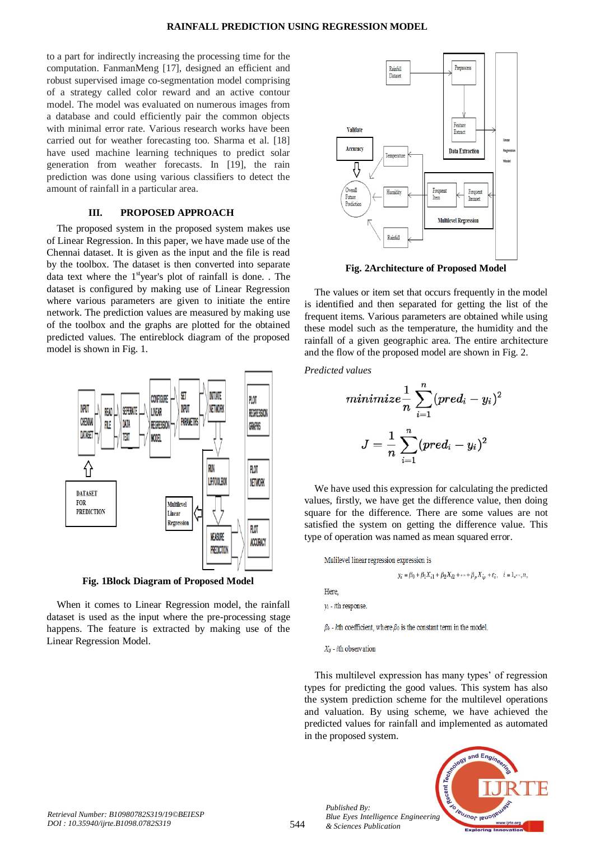to a part for indirectly increasing the processing time for the computation. FanmanMeng [17], designed an efficient and robust supervised image co-segmentation model comprising of a strategy called color reward and an active contour model. The model was evaluated on numerous images from a database and could efficiently pair the common objects with minimal error rate. Various research works have been carried out for weather forecasting too. Sharma et al. [18] have used machine learning techniques to predict solar generation from weather forecasts. In [19], the rain prediction was done using various classifiers to detect the amount of rainfall in a particular area.

## **III. PROPOSED APPROACH**

The proposed system in the proposed system makes use of Linear Regression. In this paper, we have made use of the Chennai dataset. It is given as the input and the file is read by the toolbox. The dataset is then converted into separate data text where the  $1<sup>st</sup>$ year's plot of rainfall is done. . The dataset is configured by making use of Linear Regression where various parameters are given to initiate the entire network. The prediction values are measured by making use of the toolbox and the graphs are plotted for the obtained predicted values. The entireblock diagram of the proposed model is shown in Fig. 1.



**Fig. 1Block Diagram of Proposed Model** 

When it comes to Linear Regression model, the rainfall dataset is used as the input where the pre-processing stage happens. The feature is extracted by making use of the Linear Regression Model.



**Fig. 2Architecture of Proposed Model** 

The values or item set that occurs frequently in the model is identified and then separated for getting the list of the frequent items. Various parameters are obtained while using these model such as the temperature, the humidity and the rainfall of a given geographic area. The entire architecture and the flow of the proposed model are shown in Fig. 2.

*Predicted values*

$$
minimize \frac{1}{n}\sum_{i=1}^{n}(pred_i - y_i)^2 \\ J = \frac{1}{n}\sum_{i=1}^{n}(pred_i - y_i)^2
$$

We have used this expression for calculating the predicted values, firstly, we have get the difference value, then doing square for the difference. There are some values are not satisfied the system on getting the difference value. This type of operation was named as mean squared error.

Mulilevel linear regression expression is

$$
y_i = \beta_0 + \beta_1 X_{i1} + \beta_2 X_{i2} + \dots + \beta_n X_{in} + \varepsilon_i, \quad i = 1, \dots, n,
$$

Here

 $y_i$  - *i*th response.

 $\beta_k$  - kth coefficient, where  $\beta_0$  is the constant term in the model.

 $X_{ij}$  - *i*th observation

*Published By:*

*& Sciences Publication* 

This multilevel expression has many types' of regression types for predicting the good values. This system has also the system prediction scheme for the multilevel operations and valuation. By using scheme, we have achieved the predicted values for rainfall and implemented as automated in the proposed system.

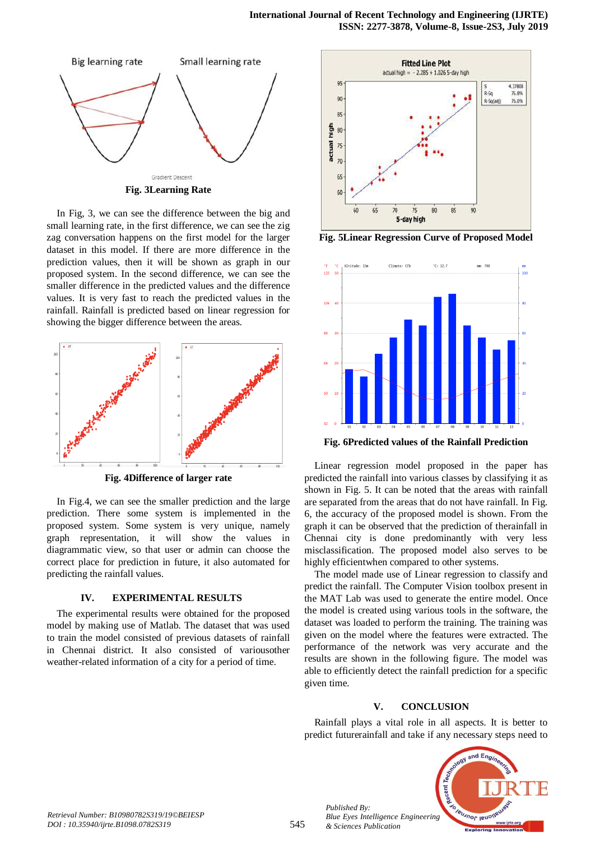

In Fig, 3, we can see the difference between the big and small learning rate, in the first difference, we can see the zig zag conversation happens on the first model for the larger dataset in this model. If there are more difference in the prediction values, then it will be shown as graph in our proposed system. In the second difference, we can see the smaller difference in the predicted values and the difference values. It is very fast to reach the predicted values in the rainfall. Rainfall is predicted based on linear regression for showing the bigger difference between the areas.



**Fig. 4Difference of larger rate**

In Fig.4, we can see the smaller prediction and the large prediction. There some system is implemented in the proposed system. Some system is very unique, namely graph representation, it will show the values in diagrammatic view, so that user or admin can choose the correct place for prediction in future, it also automated for predicting the rainfall values.

### **IV. EXPERIMENTAL RESULTS**

The experimental results were obtained for the proposed model by making use of Matlab. The dataset that was used to train the model consisted of previous datasets of rainfall in Chennai district. It also consisted of variousother weather-related information of a city for a period of time.



**Fig. 5Linear Regression Curve of Proposed Model** 



**Fig. 6Predicted values of the Rainfall Prediction**

Linear regression model proposed in the paper has predicted the rainfall into various classes by classifying it as shown in Fig. 5. It can be noted that the areas with rainfall are separated from the areas that do not have rainfall. In Fig. 6, the accuracy of the proposed model is shown. From the graph it can be observed that the prediction of therainfall in Chennai city is done predominantly with very less misclassification. The proposed model also serves to be highly efficientwhen compared to other systems.

The model made use of Linear regression to classify and predict the rainfall. The Computer Vision toolbox present in the MAT Lab was used to generate the entire model. Once the model is created using various tools in the software, the dataset was loaded to perform the training. The training was given on the model where the features were extracted. The performance of the network was very accurate and the results are shown in the following figure. The model was able to efficiently detect the rainfall prediction for a specific given time.

## **V. CONCLUSION**

Rainfall plays a vital role in all aspects. It is better to predict futurerainfall and take if any necessary steps need to



*Published By:*

*& Sciences Publication*